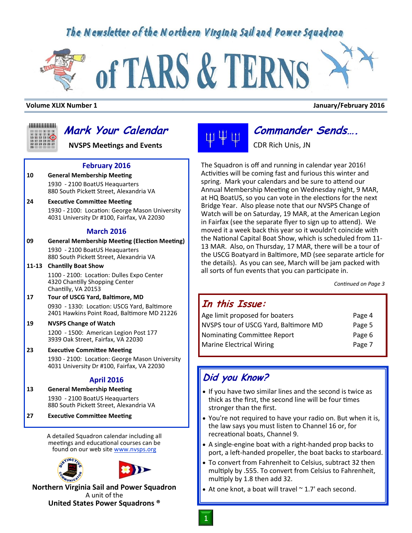## The Newsletter of the Northern Virginia Sail and Power Squadron

# of TARS & TERNS

#### **Volume XLIX Number 1 January/February 2016**



# **Mark Your Calendar**

**NVSPS Meetings and Events**

### **February 2016**

**10 General Membership Meeting** 1930 - 2100 BoatUS Heaquarters 880 South Pickett Street, Alexandria VA

#### **24 Executive Committee Meeting**

1930 - 2100: Location: George Mason University 4031 University Dr #100, Fairfax, VA 22030

#### **March 2016**

**09 General Membership Meeting (Election Meeting)** 1930 - 2100 BoatUS Heaquarters 880 South Pickett Street, Alexandria VA

**11-13 Chantilly Boat Show**

1100 - 2100: Location: Dulles Expo Center 4320 Chantilly Shopping Center Chantilly, VA 20153

**17 Tour of USCG Yard, Baltimore, MD** 0930 - 1330: Location: USCG Yard, Baltimore 2401 Hawkins Point Road, Baltimore MD 21226

## **19 NVSPS Change of Watch**

1200 - 1500: American Legion Post 177 3939 Oak Street, Fairfax, VA 22030

**23 Executive Committee Meeting**

1930 - 2100: Location: George Mason University 4031 University Dr #100, Fairfax, VA 22030

## **April 2016**

- **13 General Membership Meeting** 1930 - 2100 BoatUS Heaquarters 880 South Pickett Street, Alexandria VA
- **27 Executive Committee Meeting**

A detailed Squadron calendar including all meetings and educational courses can be found on our web site www.nvsps.org





**Northern Virginia Sail and Power Squadron** A unit of the **United States Power Squadrons ®**

# **Commander Sends….**

CDR Rich Unis, JN

The Squadron is off and running in calendar year 2016! Activities will be coming fast and furious this winter and spring. Mark your calendars and be sure to attend our Annual Membership Meeting on Wednesday night, 9 MAR, at HQ BoatUS, so you can vote in the elections for the next Bridge Year. Also please note that our NVSPS Change of Watch will be on Saturday, 19 MAR, at the American Legion in Fairfax (see the separate flyer to sign up to attend). We moved it a week back this year so it wouldn't coincide with the National Capital Boat Show, which is scheduled from 11- 13 MAR. Also, on Thursday, 17 MAR, there will be a tour of the USCG Boatyard in Baltimore, MD (see separate article for the details). As you can see, March will be jam packed with all sorts of fun events that you can participate in.

*Continued on Page 3*

## **In this Issue:**

| Age limit proposed for boaters        | Page 4 |
|---------------------------------------|--------|
| NVSPS tour of USCG Yard, Baltimore MD | Page 5 |
| Nominating Committee Report           | Page 6 |
| <b>Marine Electrical Wiring</b>       | Page 7 |

## **Did you Know?**

- If you have two similar lines and the second is twice as thick as the first, the second line will be four times stronger than the first.
- You're not required to have your radio on. But when it is, the law says you must listen to Channel 16 or, for recreational boats, Channel 9.
- A single-engine boat with a right-handed prop backs to port, a left-handed propeller, the boat backs to starboard.
- To convert from Fahrenheit to Celsius, subtract 32 then multiply by .555. To convert from Celsius to Fahrenheit, multiply by 1.8 then add 32.
- $\bullet$  At one knot, a boat will travel  $\sim$  1.7' each second.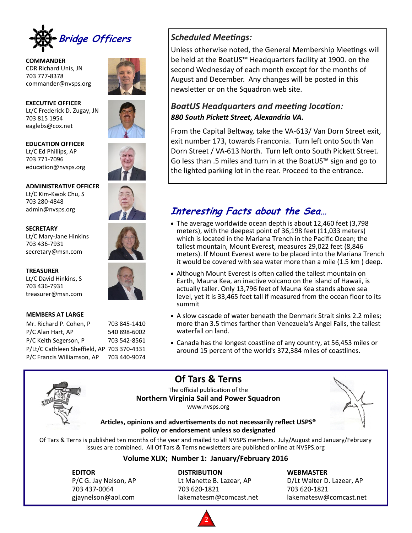

**COMMANDER** CDR Richard Unis, JN 703 777-8378 commander@nvsps.org



**EXECUTIVE OFFICER** Lt/C Frederick D. Zugay, JN 703 815 1954 eaglebs@cox.net

**EDUCATION OFFICER** Lt/C Ed Phillips, AP 703 771-7096 education@nvsps.org

**ADMINISTRATIVE OFFICER** Lt/C Kim-Kwok Chu, S 703 280-4848 admin@nvsps.org

#### **SECRETARY**

Lt/C Mary-Jane Hinkins 703 436-7931 secretary@msn.com

**TREASURER**

Lt/C David Hinkins, S 703 436-7931 treasurer@msn.com

#### **MEMBERS AT LARGE**

Mr. Richard P. Cohen, P 703 845-1410 P/C Alan Hart, AP 540 898-6002 P/C Keith Segerson, P 703 542-8561 P/Lt/C Cathleen Sheffield, AP 703 370-4331 P/C Francis Williamson, AP 703 440-9074



Unless otherwise noted, the General Membership Meetings will be held at the BoatUS™ Headquarters facility at 1900. on the second Wednesday of each month except for the months of August and December. Any changes will be posted in this newsletter or on the Squadron web site.

## *BoatUS Headquarters and meeting location: 880 South Pickett Street, Alexandria VA.*

From the Capital Beltway, take the VA-613/ Van Dorn Street exit, exit number 173, towards Franconia. Turn left onto South Van Dorn Street / VA-613 North. Turn left onto South Pickett Street. Go less than .5 miles and turn in at the BoatUS™ sign and go to the lighted parking lot in the rear. Proceed to the entrance.







## **Interesting Facts about the Sea…**

- The average worldwide ocean depth is about 12,460 feet (3,798 meters), with the deepest point of 36,198 feet (11,033 meters) which is located in the Mariana Trench in the Pacific Ocean; the tallest mountain, Mount Everest, measures 29,022 feet (8,846 meters). If Mount Everest were to be placed into the Mariana Trench it would be covered with sea water more than a mile (1.5 km ) deep.
- Although Mount Everest is often called the tallest mountain on Earth, Mauna Kea, an inactive volcano on the island of Hawaii, is actually taller. Only 13,796 feet of Mauna Kea stands above sea level, yet it is 33,465 feet tall if measured from the ocean floor to its summit
- A slow cascade of water beneath the Denmark Strait sinks 2.2 miles; more than 3.5 times farther than Venezuela's Angel Falls, the tallest waterfall on land.
- Canada has the longest coastline of any country, at 56,453 miles or around 15 percent of the world's 372,384 miles of coastlines.



The official publication of the **Northern Virginia Sail and Power Squadron** www.nvsps.org

**Of Tars & Terns**



#### **Articles, opinions and advertisements do not necessarily reflect USPS® policy or endorsement unless so designated**

Of Tars & Terns is published ten months of the year and mailed to all NVSPS members. July/August and January/February issues are combined. All Of Tars & Terns newsletters are published online at NVSPS.org

## **Volume XLIX; Number 1: January/February 2016**

**EDITOR DISTRIBUTION WEBMASTER** 703 437-0064 703 620-1821 703 620-1821

P/C G. Jay Nelson, AP Lt Manette B. Lazear, AP D/Lt Walter D. Lazear, AP gjaynelson@aol.com lakematesm@comcast.net lakematesw@comcast.net

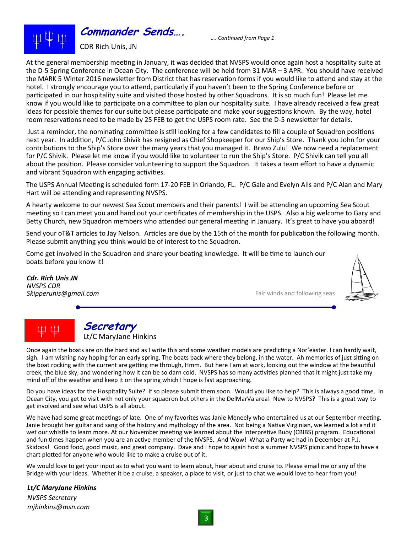

*…. Continued from Page 1*

At the general membership meeting in January, it was decided that NVSPS would once again host a hospitality suite at the D-5 Spring Conference in Ocean City. The conference will be held from 31 MAR – 3 APR. You should have received the MARK 5 Winter 2016 newsletter from District that has reservation forms if you would like to attend and stay at the hotel. I strongly encourage you to attend, particularly if you haven't been to the Spring Conference before or participated in our hospitality suite and visited those hosted by other Squadrons. It is so much fun! Please let me know if you would like to participate on a committee to plan our hospitality suite. I have already received a few great ideas for possible themes for our suite but please participate and make your suggestions known. By the way, hotel room reservations need to be made by 25 FEB to get the USPS room rate. See the D-5 newsletter for details.

Just a reminder, the nominating committee is still looking for a few candidates to fill a couple of Squadron positions next year. In addition, P/C John Shivik has resigned as Chief Shopkeeper for our Ship's Store. Thank you John for your contributions to the Ship's Store over the many years that you managed it. Bravo Zulu! We now need a replacement for P/C Shivik. Please let me know if you would like to volunteer to run the Ship's Store. P/C Shivik can tell you all about the position. Please consider volunteering to support the Squadron. It takes a team effort to have a dynamic and vibrant Squadron with engaging activities.

The USPS Annual Meeting is scheduled form 17-20 FEB in Orlando, FL. P/C Gale and Evelyn Alls and P/C Alan and Mary Hart will be attending and representing NVSPS.

A hearty welcome to our newest Sea Scout members and their parents! I will be attending an upcoming Sea Scout meeting so I can meet you and hand out your certificates of membership in the USPS. Also a big welcome to Gary and Betty Church, new Squadron members who attended our general meeting in January. It's great to have you aboard!

Send your oT&T articles to Jay Nelson. Articles are due by the 15th of the month for publication the following month. Please submit anything you think would be of interest to the Squadron.

Come get involved in the Squadron and share your boating knowledge. It will be time to launch our boats before you know it!

*Cdr. Rich Unis JN NVSPS CDR*

Fair winds and following seas



# ψψ

## **Secretary** Lt/C MaryJane Hinkins

Once again the boats are on the hard and as I write this and some weather models are predicting a Nor'easter. I can hardly wait, sigh. I am wishing nay hoping for an early spring. The boats back where they belong, in the water. Ah memories of just sitting on the boat rocking with the current are getting me through, Hmm. But here I am at work, looking out the window at the beautiful creek, the blue sky, and wondering how it can be so darn cold. NVSPS has so many activities planned that it might just take my mind off of the weather and keep it on the spring which I hope is fast approaching.

Do you have ideas for the Hospitality Suite? If so please submit them soon. Would you like to help? This is always a good time. In Ocean City, you get to visit with not only your squadron but others in the DelMarVa area! New to NVSPS? This is a great way to get involved and see what USPS is all about.

We have had some great meetings of late. One of my favorites was Janie Meneely who entertained us at our September meeting. Janie brought her guitar and sang of the history and mythology of the area. Not being a Native Virginian, we learned a lot and it wet our whistle to learn more. At our November meeting we learned about the Interpretive Buoy (CBIBS) program. Educational and fun times happen when you are an active member of the NVSPS. And Wow! What a Party we had in December at P.J. Skidoos! Good food, good music, and great company. Dave and I hope to again host a summer NVSPS picnic and hope to have a chart plotted for anyone who would like to make a cruise out of it.

We would love to get your input as to what you want to learn about, hear about and cruise to. Please email me or any of the Bridge with your ideas. Whether it be a cruise, a speaker, a place to visit, or just to chat we would love to hear from you!

*Lt/C MaryJane Hinkins*

*NVSPS Secretary mjhinkins@msn.com*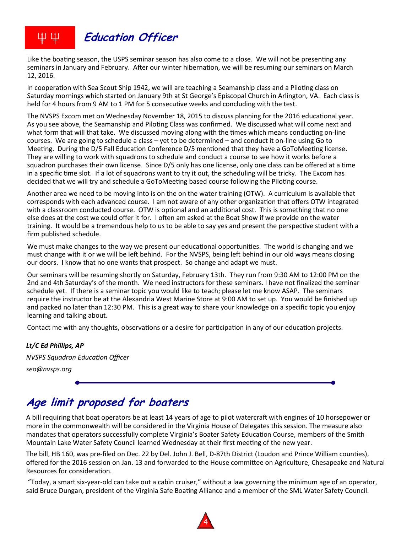

Like the boating season, the USPS seminar season has also come to a close. We will not be presenting any seminars in January and February. After our winter hibernation, we will be resuming our seminars on March 12, 2016.

In cooperation with Sea Scout Ship 1942, we will are teaching a Seamanship class and a Piloting class on Saturday mornings which started on January 9th at St George's Episcopal Church in Arlington, VA. Each class is held for 4 hours from 9 AM to 1 PM for 5 consecutive weeks and concluding with the test.

The NVSPS Excom met on Wednesday November 18, 2015 to discuss planning for the 2016 educational year. As you see above, the Seamanship and Piloting Class was confirmed. We discussed what will come next and what form that will that take. We discussed moving along with the times which means conducting on-line courses. We are going to schedule a class – yet to be determined – and conduct it on-line using Go to Meeting. During the D/5 Fall Education Conference D/5 mentioned that they have a GoToMeeting license. They are willing to work with squadrons to schedule and conduct a course to see how it works before a squadron purchases their own license. Since D/5 only has one license, only one class can be offered at a time in a specific time slot. If a lot of squadrons want to try it out, the scheduling will be tricky. The Excom has decided that we will try and schedule a GoToMeeting based course following the Piloting course.

Another area we need to be moving into is on the on the water training (OTW). A curriculum is available that corresponds with each advanced course. I am not aware of any other organization that offers OTW integrated with a classroom conducted course. OTW is optional and an additional cost. This is something that no one else does at the cost we could offer it for. I often am asked at the Boat Show if we provide on the water training. It would be a tremendous help to us to be able to say yes and present the perspective student with a firm published schedule.

We must make changes to the way we present our educational opportunities. The world is changing and we must change with it or we will be left behind. For the NVSPS, being left behind in our old ways means closing our doors. I know that no one wants that prospect. So change and adapt we must.

Our seminars will be resuming shortly on Saturday, February 13th. They run from 9:30 AM to 12:00 PM on the 2nd and 4th Saturday's of the month. We need instructors for these seminars. I have not finalized the seminar schedule yet. If there is a seminar topic you would like to teach; please let me know ASAP. The seminars require the instructor be at the Alexandria West Marine Store at 9:00 AM to set up. You would be finished up and packed no later than 12:30 PM. This is a great way to share your knowledge on a specific topic you enjoy learning and talking about.

Contact me with any thoughts, observations or a desire for participation in any of our education projects.

## *Lt/C Ed Phillips, AP*

*NVSPS Squadron Education Officer seo@nvsps.org*

# **Age limit proposed for boaters**

A bill requiring that boat operators be at least 14 years of age to pilot watercraft with engines of 10 horsepower or more in the commonwealth will be considered in the Virginia House of Delegates this session. The measure also mandates that operators successfully complete Virginia's Boater Safety Education Course, members of the Smith Mountain Lake Water Safety Council learned Wednesday at their first meeting of the new year.

The bill, HB 160, was pre-filed on Dec. 22 by Del. John J. Bell, D-87th District (Loudon and Prince William counties), offered for the 2016 session on Jan. 13 and forwarded to the House committee on Agriculture, Chesapeake and Natural Resources for consideration.

"Today, a smart six-year-old can take out a cabin cruiser," without a law governing the minimum age of an operator, said Bruce Dungan, president of the Virginia Safe Boating Alliance and a member of the SML Water Safety Council.

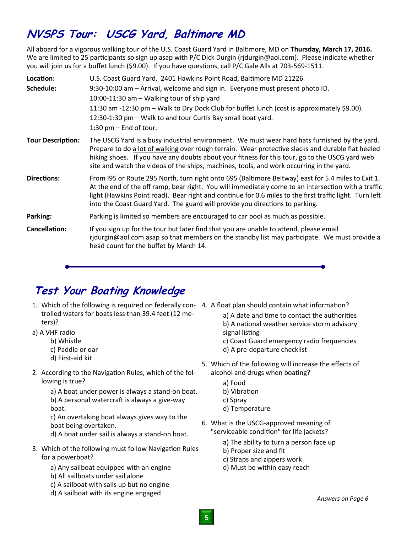# **NVSPS Tour: USCG Yard, Baltimore MD**

All aboard for a vigorous walking tour of the U.S. Coast Guard Yard in Baltimore, MD on **Thursday, March 17, 2016.** We are limited to 25 participants so sign up asap with P/C Dick Durgin (rjdurgin@aol.com). Please indicate whether you will join us for a buffet lunch (\$9.00). If you have questions, call P/C Gale Alls at 703-569-1511.

| Location:                | U.S. Coast Guard Yard, 2401 Hawkins Point Road, Baltimore MD 21226                                                                                                                                                                                                                                                                                                                                   |
|--------------------------|------------------------------------------------------------------------------------------------------------------------------------------------------------------------------------------------------------------------------------------------------------------------------------------------------------------------------------------------------------------------------------------------------|
| Schedule:                | 9:30-10:00 am - Arrival, welcome and sign in. Everyone must present photo ID.                                                                                                                                                                                                                                                                                                                        |
|                          | 10:00-11:30 am - Walking tour of ship yard                                                                                                                                                                                                                                                                                                                                                           |
|                          | 11:30 am -12:30 pm – Walk to Dry Dock Club for buffet lunch (cost is approximately \$9.00).                                                                                                                                                                                                                                                                                                          |
|                          | 12:30-1:30 pm – Walk to and tour Curtis Bay small boat yard.                                                                                                                                                                                                                                                                                                                                         |
|                          | 1:30 pm $-$ End of tour.                                                                                                                                                                                                                                                                                                                                                                             |
| <b>Tour Description:</b> | The USCG Yard is a busy industrial environment. We must wear hard hats furnished by the yard.<br>Prepare to do a lot of walking over rough terrain. Wear protective slacks and durable flat heeled<br>hiking shoes. If you have any doubts about your fitness for this tour, go to the USCG yard web<br>site and watch the videos of the ships, machines, tools, and work occurring in the yard.     |
| Directions:              | From 195 or Route 295 North, turn right onto 695 (Baltimore Beltway) east for 5.4 miles to Exit 1.<br>At the end of the off ramp, bear right. You will immediately come to an intersection with a traffic<br>light (Hawkins Point road). Bear right and continue for 0.6 miles to the first traffic light. Turn left<br>into the Coast Guard Yard. The guard will provide you directions to parking. |
| Parking:                 | Parking is limited so members are encouraged to car pool as much as possible.                                                                                                                                                                                                                                                                                                                        |
| Cancellation:            | If you sign up for the tour but later find that you are unable to attend, please email<br>ridurgin@aol.com asap so that members on the standby list may participate. We must provide a<br>head count for the buffet by March 14.                                                                                                                                                                     |

# **Test Your Boating Knowledge**

- 1. Which of the following is required on federally con- 4. A float plan should contain what information? trolled waters for boats less than 39.4 feet (12 meters)?
- a) A VHF radio
	- b) Whistle
	- c) Paddle or oar
	- d) First-aid kit
- 2. According to the Navigation Rules, which of the following is true?

a) A boat under power is always a stand-on boat. b) A personal watercraft is always a give-way boat.

c) An overtaking boat always gives way to the boat being overtaken.

d) A boat under sail is always a stand-on boat.

- 3. Which of the following must follow Navigation Rules for a powerboat?
	- a) Any sailboat equipped with an engine
	- b) All sailboats under sail alone
	- c) A sailboat with sails up but no engine
	- d) A sailboat with its engine engaged

a) A date and time to contact the authorities b) A national weather service storm advisory signal listing

- c) Coast Guard emergency radio frequencies
- d) A pre-departure checklist
- 5. Which of the following will increase the effects of alcohol and drugs when boating?
	- a) Food
	- b) Vibration
	- c) Spray
	- d) Temperature
- 6. What is the USCG-approved meaning of "serviceable condition" for life jackets?
	- a) The ability to turn a person face up
	- b) Proper size and fit
	- c) Straps and zippers work
	- d) Must be within easy reach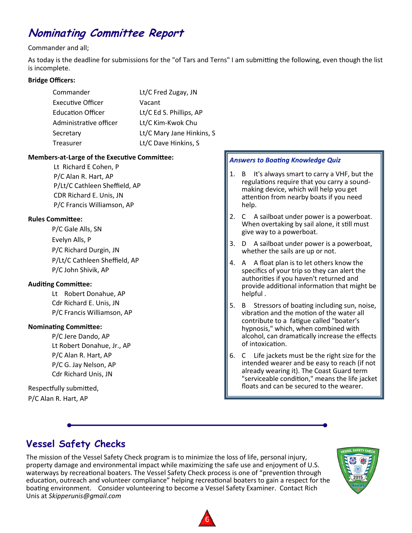# **Nominating Committee Report**

## Commander and all;

As today is the deadline for submissions for the "of Tars and Terns" I am submitting the following, even though the list is incomplete.

## **Bridge Officers:**

| Commander                | Lt/C Fred Zugay, JN       |
|--------------------------|---------------------------|
| Executive Officer        | Vacant                    |
| <b>Education Officer</b> | Lt/C Ed S. Phillips, AP   |
| Administrative officer   | Lt/C Kim-Kwok Chu         |
| Secretary                | Lt/C Mary Jane Hinkins, S |
| Treasurer                | Lt/C Dave Hinkins, S      |

## **Members-at-Large of the Executive Committee:**

Lt Richard E Cohen, P P/C Alan R. Hart, AP P/Lt/C Cathleen Sheffield, AP CDR Richard E. Unis, JN P/C Francis Williamson, AP

## **Rules Committee:**

P/C Gale Alls, SN Evelyn Alls, P P/C Richard Durgin, JN P/Lt/C Cathleen Sheffield, AP P/C John Shivik, AP

## **Auditing Committee:**

Lt Robert Donahue, AP Cdr Richard E. Unis, JN P/C Francis Williamson, AP

## **Nominating Committee:**

P/C Jere Dando, AP Lt Robert Donahue, Jr., AP P/C Alan R. Hart, AP P/C G. Jay Nelson, AP Cdr Richard Unis, JN

Respectfully submitted, P/C Alan R. Hart, AP

## *Answers to Boating Knowledge Quiz*

- 1. B It's always smart to carry a VHF, but the regulations require that you carry a soundmaking device, which will help you get attention from nearby boats if you need help.
- 2. C A sailboat under power is a powerboat. When overtaking by sail alone, it still must give way to a powerboat.
- 3. D A sailboat under power is a powerboat, whether the sails are up or not.
- 4. A A float plan is to let others know the specifics of your trip so they can alert the authorities if you haven't returned and provide additional information that might be helpful .
- 5. B Stressors of boating including sun, noise, vibration and the motion of the water all contribute to a fatigue called "boater's hypnosis," which, when combined with alcohol, can dramatically increase the effects of intoxication.
- 6. C Life jackets must be the right size for the intended wearer and be easy to reach (if not already wearing it). The Coast Guard term "serviceable condition," means the life jacket floats and can be secured to the wearer.

## **Vessel Safety Checks**

The mission of the Vessel Safety Check program is to minimize the loss of life, personal injury, property damage and environmental impact while maximizing the safe use and enjoyment of U.S. waterways by recreational boaters. The Vessel Safety Check process is one of "prevention through education, outreach and volunteer compliance" helping recreational boaters to gain a respect for the boating environment. Consider volunteering to become a Vessel Safety Examiner. Contact Rich Unis at *Skipperunis@gmail.com*



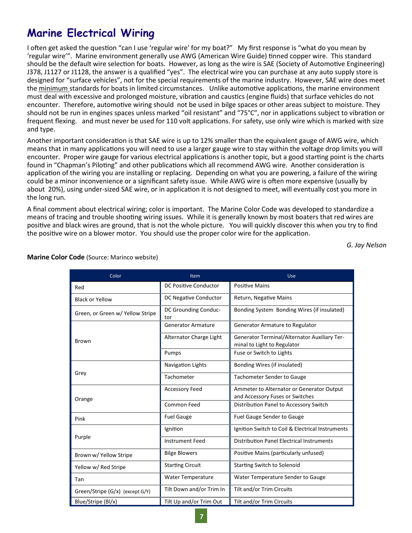# **Marine Electrical Wiring**

I often get asked the question "can I use 'regular wire' for my boat?" My first response is "what do you mean by 'regular wire'". Marine environment generally use AWG (American Wire Guide) tinned copper wire. This standard should be the default wire selection for boats. However, as long as the wire is SAE (Society of Automotive Engineering) J378, J1127 or J1128, the answer is a qualified "yes". The electrical wire you can purchase at any auto supply store is designed for "surface vehicles", not for the special requirements of the marine industry. However, SAE wire does meet the minimum standards for boats in limited circumstances. Unlike automotive applications, the marine environment must deal with excessive and prolonged moisture, vibration and caustics (engine fluids) that surface vehicles do not encounter. Therefore, automotive wiring should not be used in bilge spaces or other areas subject to moisture. They should not be run in engines spaces unless marked "oil resistant" and "75°C", nor in applications subject to vibration or frequent flexing. and must never be used for 110 volt applications. For safety, use only wire which is marked with size and type.

Another important consideration is that SAE wire is up to 12% smaller than the equivalent gauge of AWG wire, which means that in many applications you will need to use a larger gauge wire to stay within the voltage drop limits you will encounter. Proper wire gauge for various electrical applications is another topic, but a good starting point is the charts found in "Chapman's Piloting" and other publications which all recommend AWG wire. Another consideration is application of the wiring you are installing or replacing. Depending on what you are powering, a failure of the wiring could be a minor inconvenience or a significant safety issue. While AWG wire is often more expensive (usually by about 20%), using under-sized SAE wire, or in application it is not designed to meet, will eventually cost you more in the long run.

A final comment about electrical wiring; color is important. The Marine Color Code was developed to standardize a means of tracing and trouble shooting wiring issues. While it is generally known by most boaters that red wires are positive and black wires are ground, that is not the whole picture. You will quickly discover this when you try to find the positive wire on a blower motor. You should use the proper color wire for the application.

*G. Jay Nelson*

| Color                            | Item                         | Use                                                                          |
|----------------------------------|------------------------------|------------------------------------------------------------------------------|
| Red                              | <b>DC Positive Conductor</b> | <b>Positive Mains</b>                                                        |
| <b>Black or Yellow</b>           | DC Negative Conductor        | Return, Negative Mains                                                       |
| Green, or Green w/ Yellow Stripe | DC Grounding Conduc-<br>tor  | Bonding System Bonding Wires (if insulated)                                  |
| <b>Brown</b>                     | <b>Generator Armature</b>    | Generator Armature to Regulator                                              |
|                                  | Alternator Charge Light      | Generator Terminal/Alternator Auxiliary Ter-<br>minal to Light to Regulator  |
|                                  | Pumps                        | Fuse or Switch to Lights                                                     |
| Grey                             | Navigation Lights            | Bonding Wires (if insulated)                                                 |
|                                  | Tachometer                   | <b>Tachometer Sender to Gauge</b>                                            |
| Orange                           | <b>Accessory Feed</b>        | Ammeter to Alternator or Generator Output<br>and Accessory Fuses or Switches |
|                                  | Common Feed                  | Distribution Panel to Accessory Switch                                       |
| Pink                             | <b>Fuel Gauge</b>            | <b>Fuel Gauge Sender to Gauge</b>                                            |
| Purple                           | Ignition                     | Ignition Switch to Coil & Electrical Instruments                             |
|                                  | <b>Instrument Feed</b>       | <b>Distribution Panel Electrical Instruments</b>                             |
| Brown w/ Yellow Stripe           | <b>Bilge Blowers</b>         | Positive Mains (particularly unfused)                                        |
| Yellow w/ Red Stripe             | <b>Starting Circuit</b>      | <b>Starting Switch to Solenoid</b>                                           |
| Tan                              | Water Temperature            | Water Temperature Sender to Gauge                                            |
| Green/Stripe (G/x) (except G/Y)  | Tilt Down and/or Trim In     | Tilt and/or Trim Circuits                                                    |
| Blue/Stripe (BI/x)               | Tilt Up and/or Trim Out      | Tilt and/or Trim Circuits                                                    |

#### **Marine Color Code** (Source: Marinco website)